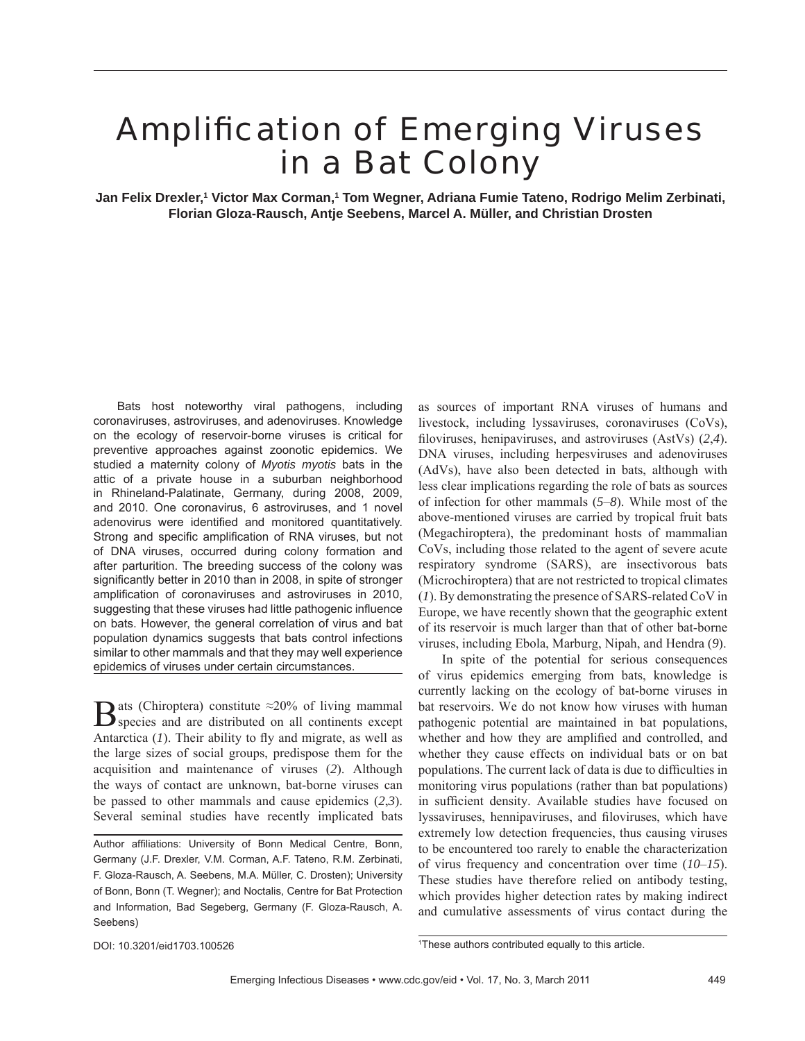# **Amplification of Emerging Viruses** in a Bat Colony

Jan Felix Drexler,1 Victor Max Corman,1 Tom Wegner, Adriana Fumie Tateno, Rodrigo Melim Zerbinati, **Florian Gloza-Rausch, Antje Seebens, Marcel A. Müller, and Christian Drosten**

Bats host noteworthy viral pathogens, including coronaviruses, astroviruses, and adenoviruses. Knowledge on the ecology of reservoir-borne viruses is critical for preventive approaches against zoonotic epidemics. We studied a maternity colony of *Myotis myotis* bats in the attic of a private house in a suburban neighborhood in Rhineland-Palatinate, Germany, during 2008, 2009, and 2010. One coronavirus, 6 astroviruses, and 1 novel adenovirus were identified and monitored quantitatively. Strong and specific amplification of RNA viruses, but not of DNA viruses, occurred during colony formation and after parturition. The breeding success of the colony was significantly better in 2010 than in 2008, in spite of stronger amplification of coronaviruses and astroviruses in 2010, suggesting that these viruses had little pathogenic influence on bats. However, the general correlation of virus and bat population dynamics suggests that bats control infections similar to other mammals and that they may well experience epidemics of viruses under certain circumstances.

Bats (Chiroptera) constitute ≈20% of living mammal species and are distributed on all continents except Antarctica  $(I)$ . Their ability to fly and migrate, as well as the large sizes of social groups, predispose them for the acquisition and maintenance of viruses (*2*). Although the ways of contact are unknown, bat-borne viruses can be passed to other mammals and cause epidemics (*2*,*3*). Several seminal studies have recently implicated bats

as sources of important RNA viruses of humans and livestock, including lyssaviruses, coronaviruses (CoVs), fi loviruses, henipaviruses, and astroviruses (AstVs) (*2*,*4*). DNA viruses, including herpesviruses and adenoviruses (AdVs), have also been detected in bats, although with less clear implications regarding the role of bats as sources of infection for other mammals (*5*–*8*). While most of the above-mentioned viruses are carried by tropical fruit bats (Megachiroptera), the predominant hosts of mammalian CoVs, including those related to the agent of severe acute respiratory syndrome (SARS), are insectivorous bats (Microchiroptera) that are not restricted to tropical climates (*1*). By demonstrating the presence of SARS-related CoV in Europe, we have recently shown that the geographic extent of its reservoir is much larger than that of other bat-borne viruses, including Ebola, Marburg, Nipah, and Hendra (*9*).

In spite of the potential for serious consequences of virus epidemics emerging from bats, knowledge is currently lacking on the ecology of bat-borne viruses in bat reservoirs. We do not know how viruses with human pathogenic potential are maintained in bat populations, whether and how they are amplified and controlled, and whether they cause effects on individual bats or on bat populations. The current lack of data is due to difficulties in monitoring virus populations (rather than bat populations) in sufficient density. Available studies have focused on lyssaviruses, hennipaviruses, and filoviruses, which have extremely low detection frequencies, thus causing viruses to be encountered too rarely to enable the characterization of virus frequency and concentration over time (*10*–*15*). These studies have therefore relied on antibody testing, which provides higher detection rates by making indirect and cumulative assessments of virus contact during the

DOI: 10.3201/eid1703.100526

1 These authors contributed equally to this article.

Author affiliations: University of Bonn Medical Centre, Bonn, Germany (J.F. Drexler, V.M. Corman, A.F. Tateno, R.M. Zerbinati, F. Gloza-Rausch, A. Seebens, M.A. Müller, C. Drosten); University of Bonn, Bonn (T. Wegner); and Noctalis, Centre for Bat Protection and Information, Bad Segeberg, Germany (F. Gloza-Rausch, A. Seebens)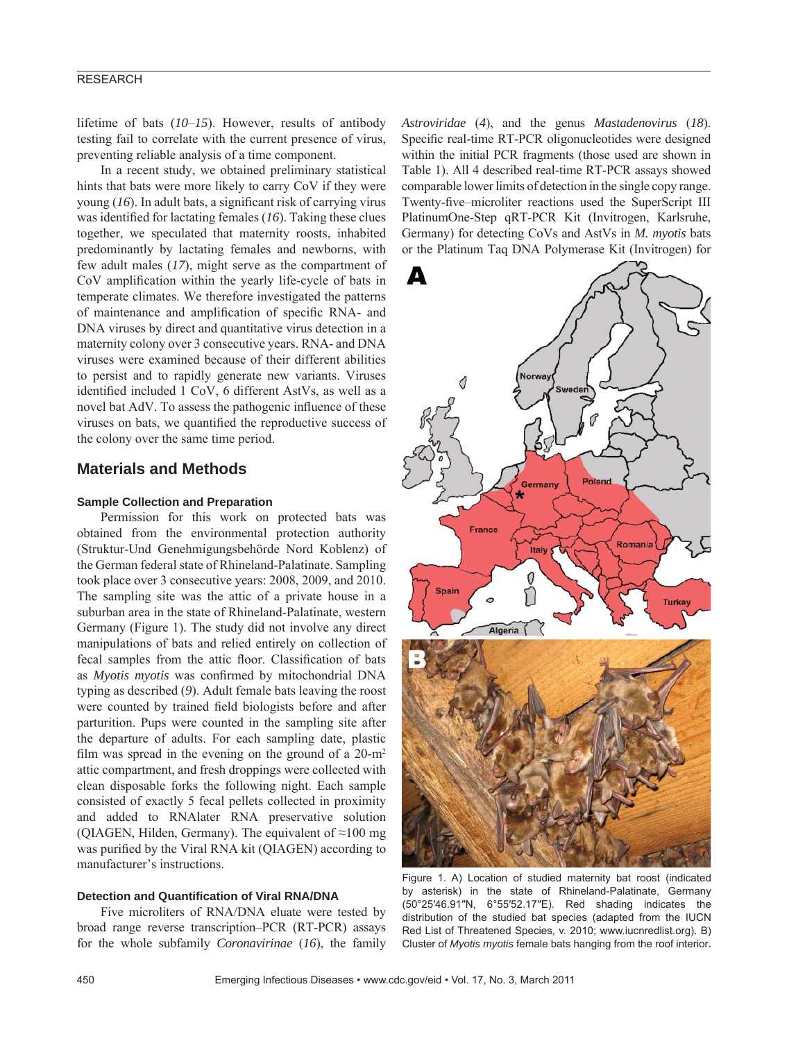# RESEARCH

lifetime of bats (*10*–*15*). However, results of antibody testing fail to correlate with the current presence of virus, preventing reliable analysis of a time component.

In a recent study, we obtained preliminary statistical hints that bats were more likely to carry CoV if they were young (16). In adult bats, a significant risk of carrying virus was identified for lactating females (16). Taking these clues together, we speculated that maternity roosts, inhabited predominantly by lactating females and newborns, with few adult males (*17*), might serve as the compartment of CoV amplification within the yearly life-cycle of bats in temperate climates. We therefore investigated the patterns of maintenance and amplification of specific RNA- and DNA viruses by direct and quantitative virus detection in a maternity colony over 3 consecutive years. RNA- and DNA viruses were examined because of their different abilities to persist and to rapidly generate new variants. Viruses identified included 1 CoV, 6 different AstVs, as well as a novel bat AdV. To assess the pathogenic influence of these viruses on bats, we quantified the reproductive success of the colony over the same time period.

# **Materials and Methods**

#### **Sample Collection and Preparation**

Permission for this work on protected bats was obtained from the environmental protection authority (Struktur-Und Genehmigungsbehörde Nord Koblenz) of the German federal state of Rhineland-Palatinate. Sampling took place over 3 consecutive years: 2008, 2009, and 2010. The sampling site was the attic of a private house in a suburban area in the state of Rhineland-Palatinate, western Germany (Figure 1). The study did not involve any direct manipulations of bats and relied entirely on collection of fecal samples from the attic floor. Classification of bats as *Myotis myotis* was confirmed by mitochondrial DNA typing as described (*9*). Adult female bats leaving the roost were counted by trained field biologists before and after parturition. Pups were counted in the sampling site after the departure of adults. For each sampling date, plastic film was spread in the evening on the ground of a  $20-m^2$ attic compartment, and fresh droppings were collected with clean disposable forks the following night. Each sample consisted of exactly 5 fecal pellets collected in proximity and added to RNAlater RNA preservative solution (OIAGEN, Hilden, Germany). The equivalent of  $\approx 100$  mg was purified by the Viral RNA kit (QIAGEN) according to manufacturer's instructions.

## **Detection and Quantification of Viral RNA/DNA**

Five microliters of RNA/DNA eluate were tested by broad range reverse transcription–PCR (RT-PCR) assays for the whole subfamily *Coronavirinae* (*16*), the family *Astroviridae* (*4*), and the genus *Mastadenovirus* (*18*). Specific real-time RT-PCR oligonucleotides were designed within the initial PCR fragments (those used are shown in Table 1). All 4 described real-time RT-PCR assays showed comparable lower limits of detection in the single copy range. Twenty-five–microliter reactions used the SuperScript III PlatinumOne-Step qRT-PCR Kit (Invitrogen, Karlsruhe, Germany) for detecting CoVs and AstVs in *M. myotis* bats or the Platinum Taq DNA Polymerase Kit (Invitrogen) for



Figure 1. A) Location of studied maternity bat roost (indicated by asterisk) in the state of Rhineland-Palatinate, Germany (50°25′46.91′′N, 6°55′52.17′′E). Red shading indicates the distribution of the studied bat species (adapted from the IUCN Red List of Threatened Species, v. 2010; www.iucnredlist.org). B) Cluster of *Myotis myotis* female bats hanging from the roof interior**.**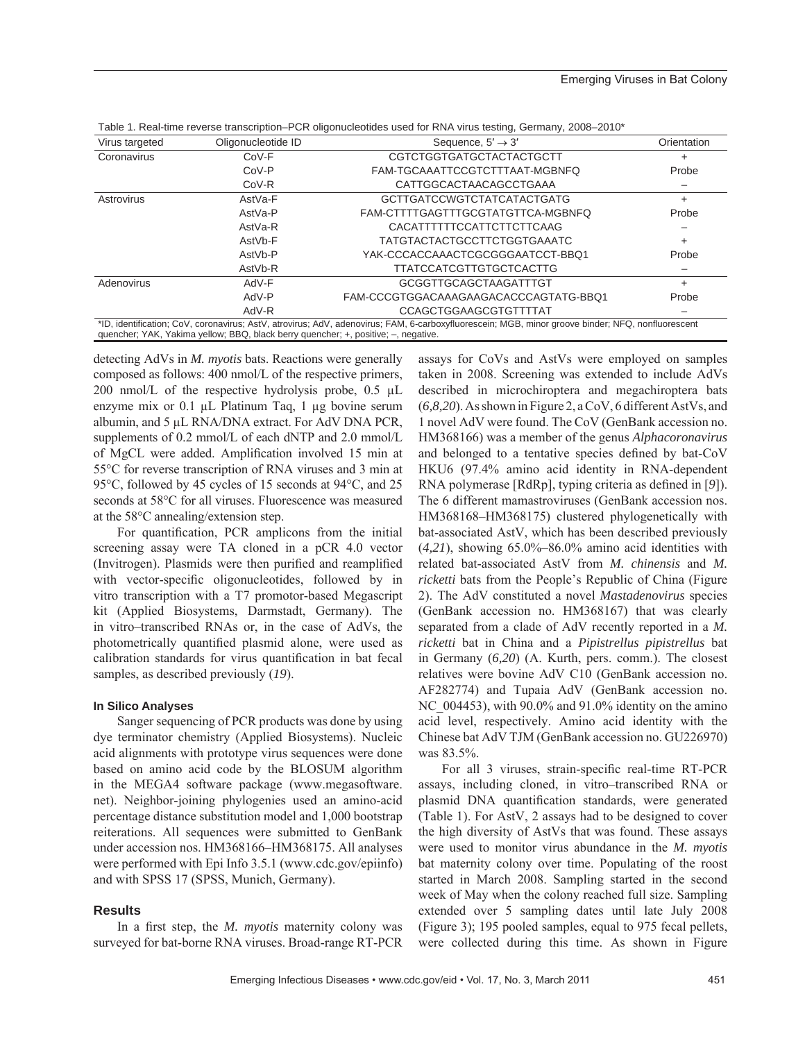| Virus targeted | Oligonucleotide ID                                                                 | Sequence, $5' \rightarrow 3'$                                                                                                                     | Orientation |  |
|----------------|------------------------------------------------------------------------------------|---------------------------------------------------------------------------------------------------------------------------------------------------|-------------|--|
| Coronavirus    | $CoV-F$                                                                            | CGTCTGGTGATGCTACTACTGCTT                                                                                                                          | ÷           |  |
|                | $CoV-P$                                                                            | FAM-TGCAAATTCCGTCTTTAAT-MGBNFQ                                                                                                                    | Probe       |  |
|                | $CoV-R$                                                                            | CATTGGCACTAACAGCCTGAAA                                                                                                                            |             |  |
| Astrovirus     | AstVa-F                                                                            | <b>GCTTGATCCWGTCTATCATACTGATG</b>                                                                                                                 | $\ddot{}$   |  |
|                | AstVa-P                                                                            | FAM-CTTTTGAGTTTGCGTATGTTCA-MGBNFQ                                                                                                                 | Probe       |  |
|                | AstVa-R                                                                            | CACATTTTTTCCATTCTTCTTCAAG                                                                                                                         |             |  |
|                | AstVb-F                                                                            | TATGTACTACTGCCTTCTGGTGAAATC                                                                                                                       | $\ddot{}$   |  |
|                | AstVb-P                                                                            | YAK-CCCACCAAACTCGCGGGAATCCT-BBO1                                                                                                                  | Probe       |  |
|                | AstVb-R                                                                            | TTATCCATCGTTGTGCTCACTTG                                                                                                                           |             |  |
| Adenovirus     | AdV-F                                                                              | GCGGTTGCAGCTAAGATTTGT                                                                                                                             | $+$         |  |
|                | AdV-P                                                                              | FAM-CCCGTGGACAAAGAAGACACCCAGTATG-BBQ1                                                                                                             | Probe       |  |
|                | AdV-R                                                                              | CCAGCTGGAAGCGTGTTTTAT                                                                                                                             |             |  |
|                | quencher; YAK, Yakima yellow; BBQ, black berry quencher; +, positive; -, negative. | *ID, identification; CoV, coronavirus; AstV, atrovirus; AdV, adenovirus; FAM, 6-carboxyfluorescein; MGB, minor groove binder; NFQ, nonfluorescent |             |  |

Table 1. Real-time reverse transcription–PCR oligonucleotides used for RNA virus testing, Germany, 2008–2010\*

detecting AdVs in *M. myotis* bats. Reactions were generally composed as follows: 400 nmol/L of the respective primers, 200 nmol/L of the respective hydrolysis probe, 0.5 μL enzyme mix or 0.1 μL Platinum Taq, 1 μg bovine serum albumin, and 5 μL RNA/DNA extract. For AdV DNA PCR, supplements of 0.2 mmol/L of each dNTP and 2.0 mmol/L of MgCL were added. Amplification involved 15 min at 55°C for reverse transcription of RNA viruses and 3 min at 95°C, followed by 45 cycles of 15 seconds at 94°C, and 25 seconds at 58°C for all viruses. Fluorescence was measured at the 58°C annealing/extension step.

For quantification, PCR amplicons from the initial screening assay were TA cloned in a pCR 4.0 vector (Invitrogen). Plasmids were then purified and reamplified with vector-specific oligonucleotides, followed by in vitro transcription with a T7 promotor-based Megascript kit (Applied Biosystems, Darmstadt, Germany). The in vitro–transcribed RNAs or, in the case of AdVs, the photometrically quantified plasmid alone, were used as calibration standards for virus quantification in bat fecal samples, as described previously (*19*).

#### **In Silico Analyses**

Sanger sequencing of PCR products was done by using dye terminator chemistry (Applied Biosystems). Nucleic acid alignments with prototype virus sequences were done based on amino acid code by the BLOSUM algorithm in the MEGA4 software package (www.megasoftware. net). Neighbor-joining phylogenies used an amino-acid percentage distance substitution model and 1,000 bootstrap reiterations. All sequences were submitted to GenBank under accession nos. HM368166–HM368175. All analyses were performed with Epi Info 3.5.1 (www.cdc.gov/epiinfo) and with SPSS 17 (SPSS, Munich, Germany).

# **Results**

In a first step, the *M. myotis* maternity colony was surveyed for bat-borne RNA viruses. Broad-range RT-PCR assays for CoVs and AstVs were employed on samples taken in 2008. Screening was extended to include AdVs described in microchiroptera and megachiroptera bats (*6,8,20*). As shown in Figure 2, a CoV, 6 different AstVs, and 1 novel AdV were found. The CoV (GenBank accession no. HM368166) was a member of the genus *Alphacoronavirus* and belonged to a tentative species defined by bat-CoV HKU6 (97.4% amino acid identity in RNA-dependent RNA polymerase [RdRp], typing criteria as defined in [9]). The 6 different mamastroviruses (GenBank accession nos. HM368168–HM368175) clustered phylogenetically with bat-associated AstV, which has been described previously  $(4,21)$ , showing  $65.0\% - 86.0\%$  amino acid identities with related bat-associated AstV from *M. chinensis* and *M. ricketti* bats from the People's Republic of China (Figure 2). The AdV constituted a novel *Mastadenovirus* species (GenBank accession no. HM368167) that was clearly separated from a clade of AdV recently reported in a *M. ricketti* bat in China and a *Pipistrellus pipistrellus* bat in Germany (*6,20*) (A. Kurth, pers. comm.). The closest relatives were bovine AdV C10 (GenBank accession no. AF282774) and Tupaia AdV (GenBank accession no. NC 004453), with 90.0% and 91.0% identity on the amino acid level, respectively. Amino acid identity with the Chinese bat AdV TJM (GenBank accession no. GU226970) was 83.5%.

For all 3 viruses, strain-specific real-time RT-PCR assays, including cloned, in vitro–transcribed RNA or plasmid DNA quantification standards, were generated (Table 1). For AstV, 2 assays had to be designed to cover the high diversity of AstVs that was found. These assays were used to monitor virus abundance in the *M. myotis* bat maternity colony over time. Populating of the roost started in March 2008. Sampling started in the second week of May when the colony reached full size. Sampling extended over 5 sampling dates until late July 2008 (Figure 3); 195 pooled samples, equal to 975 fecal pellets, were collected during this time. As shown in Figure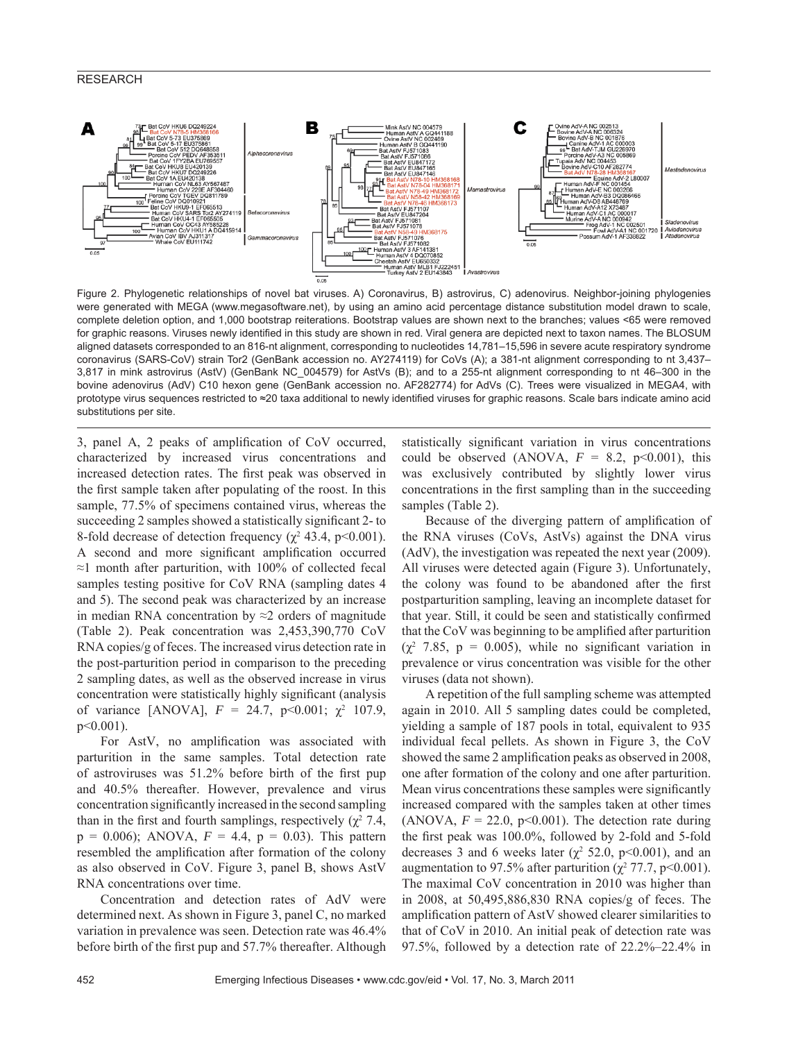## RESEARCH



Figure 2. Phylogenetic relationships of novel bat viruses. A) Coronavirus, B) astrovirus, C) adenovirus. Neighbor-joining phylogenies were generated with MEGA (www.megasoftware.net), by using an amino acid percentage distance substitution model drawn to scale, complete deletion option, and 1,000 bootstrap reiterations. Bootstrap values are shown next to the branches; values <65 were removed for graphic reasons. Viruses newly identified in this study are shown in red. Viral genera are depicted next to taxon names. The BLOSUM aligned datasets corresponded to an 816-nt alignment, corresponding to nucleotides 14,781–15,596 in severe acute respiratory syndrome coronavirus (SARS-CoV) strain Tor2 (GenBank accession no. AY274119) for CoVs (A); a 381-nt alignment corresponding to nt 3,437– 3,817 in mink astrovirus (AstV) (GenBank NC\_004579) for AstVs (B); and to a 255-nt alignment corresponding to nt 46–300 in the bovine adenovirus (AdV) C10 hexon gene (GenBank accession no. AF282774) for AdVs (C). Trees were visualized in MEGA4, with prototype virus sequences restricted to ≈20 taxa additional to newly identified viruses for graphic reasons. Scale bars indicate amino acid substitutions per site.

3, panel A, 2 peaks of amplification of  $CoV$  occurred, characterized by increased virus concentrations and increased detection rates. The first peak was observed in the first sample taken after populating of the roost. In this sample, 77.5% of specimens contained virus, whereas the succeeding 2 samples showed a statistically significant 2-to 8-fold decrease of detection frequency ( $\chi^2$  43.4, p<0.001). A second and more significant amplification occurred ≈1 month after parturition, with 100% of collected fecal samples testing positive for CoV RNA (sampling dates 4 and 5). The second peak was characterized by an increase in median RNA concentration by  $\approx$ 2 orders of magnitude (Table 2). Peak concentration was 2,453,390,770 CoV RNA copies/g of feces. The increased virus detection rate in the post-parturition period in comparison to the preceding 2 sampling dates, as well as the observed increase in virus concentration were statistically highly significant (analysis of variance [ANOVA],  $F = 24.7$ ,  $p < 0.001$ ;  $\chi^2$  107.9, p<0.001).

For AstV, no amplification was associated with parturition in the same samples. Total detection rate of astroviruses was  $51.2\%$  before birth of the first pup and 40.5% thereafter. However, prevalence and virus concentration significantly increased in the second sampling than in the first and fourth samplings, respectively  $(\chi^2 7.4,$  $p = 0.006$ ; ANOVA,  $F = 4.4$ ,  $p = 0.03$ ). This pattern resembled the amplification after formation of the colony as also observed in CoV. Figure 3, panel B, shows AstV RNA concentrations over time.

Concentration and detection rates of AdV were determined next. As shown in Figure 3, panel C, no marked variation in prevalence was seen. Detection rate was 46.4% before birth of the first pup and 57.7% thereafter. Although statistically significant variation in virus concentrations could be observed (ANOVA,  $F = 8.2$ ,  $p \le 0.001$ ), this was exclusively contributed by slightly lower virus concentrations in the first sampling than in the succeeding samples (Table 2).

Because of the diverging pattern of amplification of the RNA viruses (CoVs, AstVs) against the DNA virus (AdV), the investigation was repeated the next year (2009). All viruses were detected again (Figure 3). Unfortunately, the colony was found to be abandoned after the first postparturition sampling, leaving an incomplete dataset for that year. Still, it could be seen and statistically confirmed that the CoV was beginning to be amplified after parturition  $(\chi^2$  7.85, p = 0.005), while no significant variation in prevalence or virus concentration was visible for the other viruses (data not shown).

A repetition of the full sampling scheme was attempted again in 2010. All 5 sampling dates could be completed, yielding a sample of 187 pools in total, equivalent to 935 individual fecal pellets. As shown in Figure 3, the CoV showed the same 2 amplification peaks as observed in 2008, one after formation of the colony and one after parturition. Mean virus concentrations these samples were significantly increased compared with the samples taken at other times (ANOVA,  $F = 22.0$ , p<0.001). The detection rate during the first peak was  $100.0\%$ , followed by 2-fold and 5-fold decreases 3 and 6 weeks later ( $\chi^2$  52.0, p<0.001), and an augmentation to 97.5% after parturition ( $\chi^2$  77.7, p<0.001). The maximal CoV concentration in 2010 was higher than in 2008, at 50,495,886,830 RNA copies/g of feces. The amplification pattern of AstV showed clearer similarities to that of CoV in 2010. An initial peak of detection rate was 97.5%, followed by a detection rate of 22.2%–22.4% in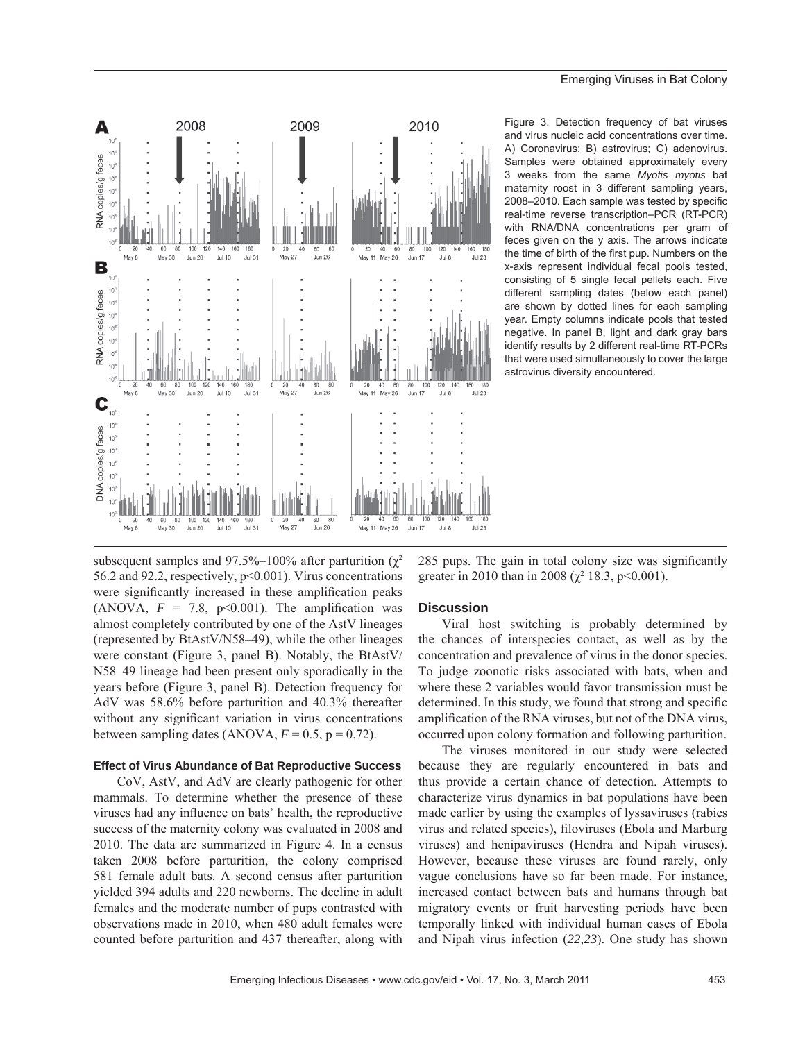

Figure 3. Detection frequency of bat viruses and virus nucleic acid concentrations over time. A) Coronavirus; B) astrovirus; C) adenovirus. Samples were obtained approximately every 3 weeks from the same *Myotis myotis* bat maternity roost in 3 different sampling years, 2008–2010. Each sample was tested by specific real-time reverse transcription–PCR (RT-PCR) with RNA/DNA concentrations per gram of feces given on the y axis. The arrows indicate the time of birth of the first pup. Numbers on the x-axis represent individual fecal pools tested, consisting of 5 single fecal pellets each. Five different sampling dates (below each panel) are shown by dotted lines for each sampling year. Empty columns indicate pools that tested negative. In panel B, light and dark gray bars identify results by 2 different real-time RT-PCRs that were used simultaneously to cover the large astrovirus diversity encountered.

subsequent samples and 97.5%–100% after parturition ( $\chi^2$ ) 56.2 and 92.2, respectively, p<0.001). Virus concentrations were significantly increased in these amplification peaks (ANOVA,  $F = 7.8$ , p<0.001). The amplification was almost completely contributed by one of the AstV lineages (represented by BtAstV/N58–49), while the other lineages were constant (Figure 3, panel B). Notably, the BtAstV/ N58–49 lineage had been present only sporadically in the years before (Figure 3, panel B). Detection frequency for AdV was 58.6% before parturition and 40.3% thereafter without any significant variation in virus concentrations between sampling dates (ANOVA,  $F = 0.5$ ,  $p = 0.72$ ).

## **Effect of Virus Abundance of Bat Reproductive Success**

CoV, AstV, and AdV are clearly pathogenic for other mammals. To determine whether the presence of these viruses had any influence on bats' health, the reproductive success of the maternity colony was evaluated in 2008 and 2010. The data are summarized in Figure 4. In a census taken 2008 before parturition, the colony comprised 581 female adult bats. A second census after parturition yielded 394 adults and 220 newborns. The decline in adult females and the moderate number of pups contrasted with observations made in 2010, when 480 adult females were counted before parturition and 437 thereafter, along with

285 pups. The gain in total colony size was significantly greater in 2010 than in 2008 ( $\chi^2$  18.3, p<0.001).

## **Discussion**

Viral host switching is probably determined by the chances of interspecies contact, as well as by the concentration and prevalence of virus in the donor species. To judge zoonotic risks associated with bats, when and where these 2 variables would favor transmission must be determined. In this study, we found that strong and specific amplification of the RNA viruses, but not of the DNA virus, occurred upon colony formation and following parturition.

The viruses monitored in our study were selected because they are regularly encountered in bats and thus provide a certain chance of detection. Attempts to characterize virus dynamics in bat populations have been made earlier by using the examples of lyssaviruses (rabies virus and related species), filoviruses (Ebola and Marburg viruses) and henipaviruses (Hendra and Nipah viruses). However, because these viruses are found rarely, only vague conclusions have so far been made. For instance, increased contact between bats and humans through bat migratory events or fruit harvesting periods have been temporally linked with individual human cases of Ebola and Nipah virus infection (*22,23*). One study has shown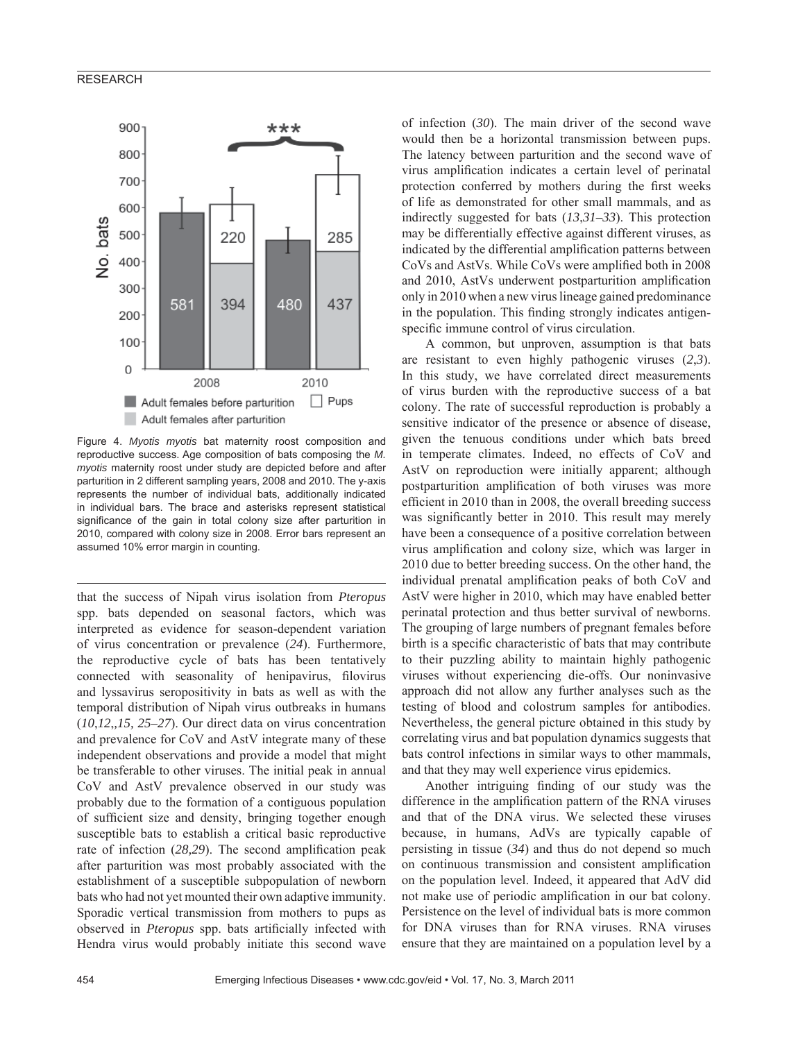

Figure 4. *Myotis myotis* bat maternity roost composition and reproductive success. Age composition of bats composing the *M. myotis* maternity roost under study are depicted before and after parturition in 2 different sampling years, 2008 and 2010. The y-axis represents the number of individual bats, additionally indicated in individual bars. The brace and asterisks represent statistical significance of the gain in total colony size after parturition in 2010, compared with colony size in 2008. Error bars represent an assumed 10% error margin in counting.

that the success of Nipah virus isolation from *Pteropus* spp. bats depended on seasonal factors, which was interpreted as evidence for season-dependent variation of virus concentration or prevalence (*24*). Furthermore, the reproductive cycle of bats has been tentatively connected with seasonality of henipavirus, filovirus and lyssavirus seropositivity in bats as well as with the temporal distribution of Nipah virus outbreaks in humans (*10*,*12*,*,15, 25–27*). Our direct data on virus concentration and prevalence for CoV and AstV integrate many of these independent observations and provide a model that might be transferable to other viruses. The initial peak in annual CoV and AstV prevalence observed in our study was probably due to the formation of a contiguous population of sufficient size and density, bringing together enough susceptible bats to establish a critical basic reproductive rate of infection (28,29). The second amplification peak after parturition was most probably associated with the establishment of a susceptible subpopulation of newborn bats who had not yet mounted their own adaptive immunity. Sporadic vertical transmission from mothers to pups as observed in *Pteropus* spp. bats artificially infected with Hendra virus would probably initiate this second wave of infection (*30*). The main driver of the second wave would then be a horizontal transmission between pups. The latency between parturition and the second wave of virus amplification indicates a certain level of perinatal protection conferred by mothers during the first weeks of life as demonstrated for other small mammals, and as indirectly suggested for bats (*13*,*31–33*). This protection may be differentially effective against different viruses, as indicated by the differential amplification patterns between CoVs and AstVs. While CoVs were amplified both in 2008 and 2010, AstVs underwent postparturition amplification only in 2010 when a new virus lineage gained predominance in the population. This finding strongly indicates antigenspecific immune control of virus circulation.

A common, but unproven, assumption is that bats are resistant to even highly pathogenic viruses (*2*,*3*). In this study, we have correlated direct measurements of virus burden with the reproductive success of a bat colony. The rate of successful reproduction is probably a sensitive indicator of the presence or absence of disease, given the tenuous conditions under which bats breed in temperate climates. Indeed, no effects of CoV and AstV on reproduction were initially apparent; although postparturition amplification of both viruses was more efficient in 2010 than in 2008, the overall breeding success was significantly better in 2010. This result may merely have been a consequence of a positive correlation between virus amplification and colony size, which was larger in 2010 due to better breeding success. On the other hand, the individual prenatal amplification peaks of both CoV and AstV were higher in 2010, which may have enabled better perinatal protection and thus better survival of newborns. The grouping of large numbers of pregnant females before birth is a specific characteristic of bats that may contribute to their puzzling ability to maintain highly pathogenic viruses without experiencing die-offs. Our noninvasive approach did not allow any further analyses such as the testing of blood and colostrum samples for antibodies. Nevertheless, the general picture obtained in this study by correlating virus and bat population dynamics suggests that bats control infections in similar ways to other mammals, and that they may well experience virus epidemics.

Another intriguing finding of our study was the difference in the amplification pattern of the RNA viruses and that of the DNA virus. We selected these viruses because, in humans, AdVs are typically capable of persisting in tissue (*34*) and thus do not depend so much on continuous transmission and consistent amplification on the population level. Indeed, it appeared that AdV did not make use of periodic amplification in our bat colony. Persistence on the level of individual bats is more common for DNA viruses than for RNA viruses. RNA viruses ensure that they are maintained on a population level by a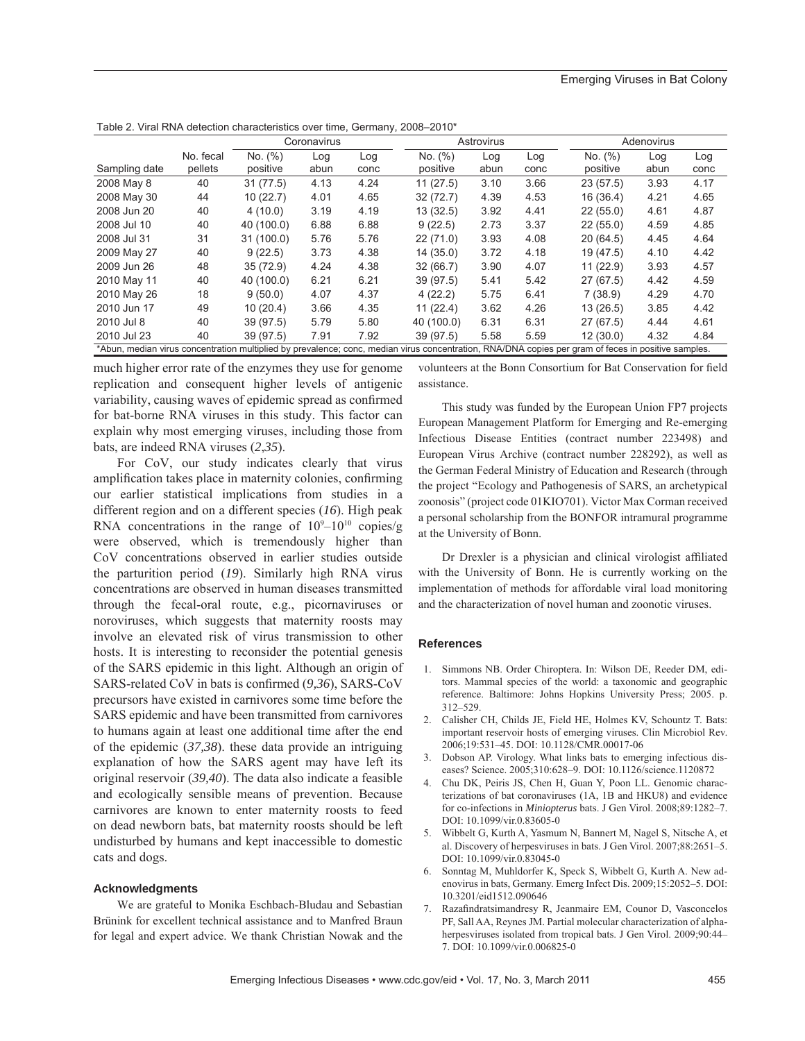|               |                      | Coronavirus         |             | Astrovirus  |                     |             | Adenovirus  |                     |             |             |
|---------------|----------------------|---------------------|-------------|-------------|---------------------|-------------|-------------|---------------------|-------------|-------------|
| Sampling date | No. fecal<br>pellets | No. (%)<br>positive | Log<br>abun | Log<br>conc | No. (%)<br>positive | Log<br>abun | Log<br>conc | No. (%)<br>positive | Log<br>abun | Log<br>conc |
| 2008 May 8    | 40                   | 31(77.5)            | 4.13        | 4.24        | 11(27.5)            | 3.10        | 3.66        | 23(57.5)            | 3.93        | 4.17        |
| 2008 May 30   | 44                   | 10(22.7)            | 4.01        | 4.65        | 32(72.7)            | 4.39        | 4.53        | 16(36.4)            | 4.21        | 4.65        |
| 2008 Jun 20   | 40                   | 4(10.0)             | 3.19        | 4.19        | 13(32.5)            | 3.92        | 4.41        | 22(55.0)            | 4.61        | 4.87        |
| 2008 Jul 10   | 40                   | 40 (100.0)          | 6.88        | 6.88        | 9(22.5)             | 2.73        | 3.37        | 22(55.0)            | 4.59        | 4.85        |
| 2008 Jul 31   | 31                   | 31(100.0)           | 5.76        | 5.76        | 22(71.0)            | 3.93        | 4.08        | 20(64.5)            | 4.45        | 4.64        |
| 2009 May 27   | 40                   | 9(22.5)             | 3.73        | 4.38        | 14(35.0)            | 3.72        | 4.18        | 19 (47.5)           | 4.10        | 4.42        |
| 2009 Jun 26   | 48                   | 35(72.9)            | 4.24        | 4.38        | 32 (66.7)           | 3.90        | 4.07        | 11(22.9)            | 3.93        | 4.57        |
| 2010 May 11   | 40                   | 40 (100.0)          | 6.21        | 6.21        | 39 (97.5)           | 5.41        | 5.42        | 27(67.5)            | 4.42        | 4.59        |
| 2010 May 26   | 18                   | 9(50.0)             | 4.07        | 4.37        | 4(22.2)             | 5.75        | 6.41        | 7(38.9)             | 4.29        | 4.70        |
| 2010 Jun 17   | 49                   | 10(20.4)            | 3.66        | 4.35        | 11(22.4)            | 3.62        | 4.26        | 13(26.5)            | 3.85        | 4.42        |
| 2010 Jul 8    | 40                   | 39(97.5)            | 5.79        | 5.80        | 40 (100.0)          | 6.31        | 6.31        | 27(67.5)            | 4.44        | 4.61        |
| 2010 Jul 23   | 40                   | 39(97.5)            | 7.91        | 7.92        | 39 (97.5)           | 5.58        | 5.59        | 12(30.0)            | 4.32        | 4.84        |

Table 2. Viral RNA detection characteristics over time, Germany, 2008–2010\*

much higher error rate of the enzymes they use for genome replication and consequent higher levels of antigenic variability, causing waves of epidemic spread as confirmed for bat-borne RNA viruses in this study. This factor can explain why most emerging viruses, including those from bats, are indeed RNA viruses (*2*,*35*).

For CoV, our study indicates clearly that virus amplification takes place in maternity colonies, confirming our earlier statistical implications from studies in a different region and on a different species (*16*). High peak RNA concentrations in the range of  $10^9 - 10^{10}$  copies/g were observed, which is tremendously higher than CoV concentrations observed in earlier studies outside the parturition period (*19*). Similarly high RNA virus concentrations are observed in human diseases transmitted through the fecal-oral route, e.g., picornaviruses or noroviruses, which suggests that maternity roosts may involve an elevated risk of virus transmission to other hosts. It is interesting to reconsider the potential genesis of the SARS epidemic in this light. Although an origin of SARS-related CoV in bats is confirmed (9.36), SARS-CoV precursors have existed in carnivores some time before the SARS epidemic and have been transmitted from carnivores to humans again at least one additional time after the end of the epidemic (*37,38*). these data provide an intriguing explanation of how the SARS agent may have left its original reservoir (*39,40*). The data also indicate a feasible and ecologically sensible means of prevention. Because carnivores are known to enter maternity roosts to feed on dead newborn bats, bat maternity roosts should be left undisturbed by humans and kept inaccessible to domestic cats and dogs.

#### **Acknowledgments**

We are grateful to Monika Eschbach-Bludau and Sebastian Brünink for excellent technical assistance and to Manfred Braun for legal and expert advice. We thank Christian Nowak and the

volunteers at the Bonn Consortium for Bat Conservation for field assistance.

This study was funded by the European Union FP7 projects European Management Platform for Emerging and Re-emerging Infectious Disease Entities (contract number 223498) and European Virus Archive (contract number 228292), as well as the German Federal Ministry of Education and Research (through the project "Ecology and Pathogenesis of SARS, an archetypical zoonosis" (project code 01KIO701). Victor Max Corman received a personal scholarship from the BONFOR intramural programme at the University of Bonn.

Dr Drexler is a physician and clinical virologist affiliated with the University of Bonn. He is currently working on the implementation of methods for affordable viral load monitoring and the characterization of novel human and zoonotic viruses.

#### **References**

- 1. Simmons NB. Order Chiroptera. In: Wilson DE, Reeder DM, editors. Mammal species of the world: a taxonomic and geographic reference. Baltimore: Johns Hopkins University Press; 2005. p. 312–529.
- 2. Calisher CH, Childs JE, Field HE, Holmes KV, Schountz T. Bats: important reservoir hosts of emerging viruses. Clin Microbiol Rev. 2006;19:531–45. DOI: 10.1128/CMR.00017-06
- 3. Dobson AP. Virology. What links bats to emerging infectious diseases? Science. 2005;310:628–9. DOI: 10.1126/science.1120872
- 4. Chu DK, Peiris JS, Chen H, Guan Y, Poon LL. Genomic characterizations of bat coronaviruses (1A, 1B and HKU8) and evidence for co-infections in *Miniopterus* bats. J Gen Virol. 2008;89:1282–7. DOI: 10.1099/vir.0.83605-0
- 5. Wibbelt G, Kurth A, Yasmum N, Bannert M, Nagel S, Nitsche A, et al. Discovery of herpesviruses in bats. J Gen Virol. 2007;88:2651–5. DOI: 10.1099/vir.0.83045-0
- 6. Sonntag M, Muhldorfer K, Speck S, Wibbelt G, Kurth A. New adenovirus in bats, Germany. Emerg Infect Dis. 2009;15:2052–5. DOI: 10.3201/eid1512.090646
- 7. Razafindratsimandresy R, Jeanmaire EM, Counor D, Vasconcelos PF, Sall AA, Reynes JM. Partial molecular characterization of alphaherpesviruses isolated from tropical bats. J Gen Virol. 2009;90:44– 7. DOI: 10.1099/vir.0.006825-0